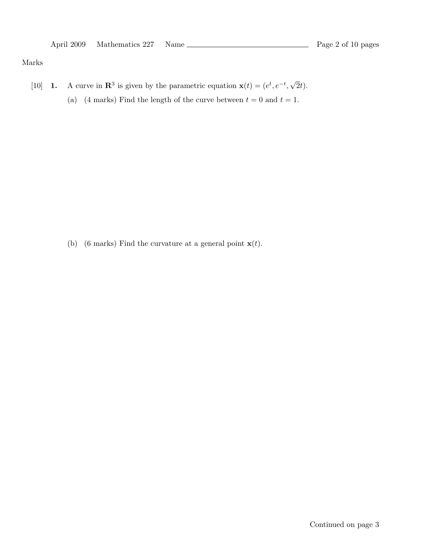Marks

- [10] **1.** A curve in  $\mathbb{R}^3$  is given by the parametric equation  $\mathbf{x}(t) = (e^t, e^{-t},$ √ 2t).
	- (a) (4 marks) Find the length of the curve between  $t = 0$  and  $t = 1$ .

(b) (6 marks) Find the curvature at a general point  $\mathbf{x}(t)$ .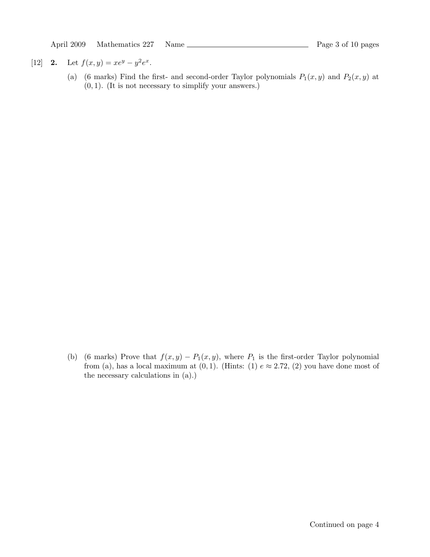[12] 2. Let  $f(x,y) = xe^y - y^2e^x$ .

(a) (6 marks) Find the first- and second-order Taylor polynomials  $P_1(x, y)$  and  $P_2(x, y)$  at  $(0, 1)$ . (It is not necessary to simplify your answers.)

(b) (6 marks) Prove that  $f(x, y) - P_1(x, y)$ , where  $P_1$  is the first-order Taylor polynomial from (a), has a local maximum at  $(0, 1)$ . (Hints: (1)  $e \approx 2.72$ , (2) you have done most of the necessary calculations in (a).)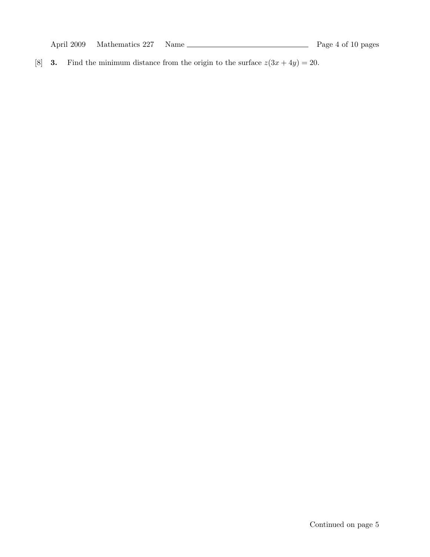April 2009 Mathematics 227 Name  $\frac{1}{2}$  Page 4 of 10 pages

[8] **3.** Find the minimum distance from the origin to the surface  $z(3x + 4y) = 20$ .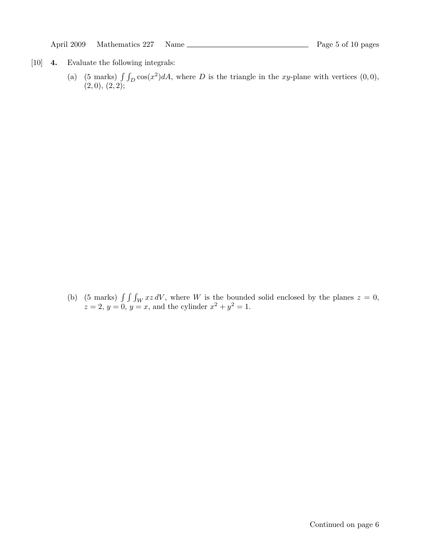- [10] 4. Evaluate the following integrals:
	- (a) (5 marks)  $\int \int_D \cos(x^2) dA$ , where D is the triangle in the xy-plane with vertices (0,0),  $(2,0), (2,2);$

(b) (5 marks)  $\int \int \int_W xz dV$ , where W is the bounded solid enclosed by the planes  $z = 0$ ,  $z = 2, y = 0, y = x$ , and the cylinder  $x^2 + y^2 = 1$ .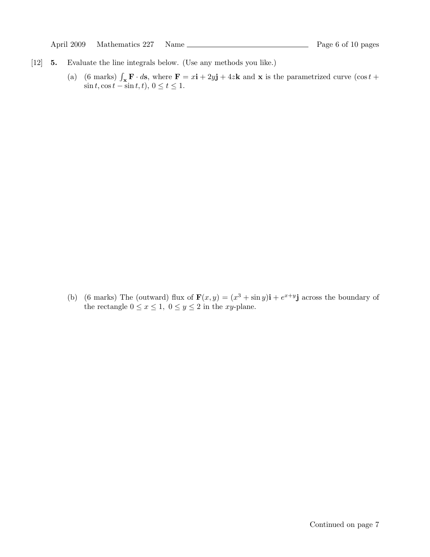- [12] 5. Evaluate the line integrals below. (Use any methods you like.)
	- (a) (6 marks)  $\int_{\mathbf{x}} \mathbf{F} \cdot d\mathbf{s}$ , where  $\mathbf{F} = x\mathbf{i} + 2y\mathbf{j} + 4z\mathbf{k}$  and  $\mathbf{x}$  is the parametrized curve (cos t +  $\sin t$ ,  $\cos t - \sin t$ ,  $t$ ),  $0 \le t \le 1$ .

(b) (6 marks) The (outward) flux of  $\mathbf{F}(x,y) = (x^3 + \sin y)\mathbf{i} + e^{x+y}\mathbf{j}$  across the boundary of the rectangle  $0 \le x \le 1$ ,  $0 \le y \le 2$  in the xy-plane.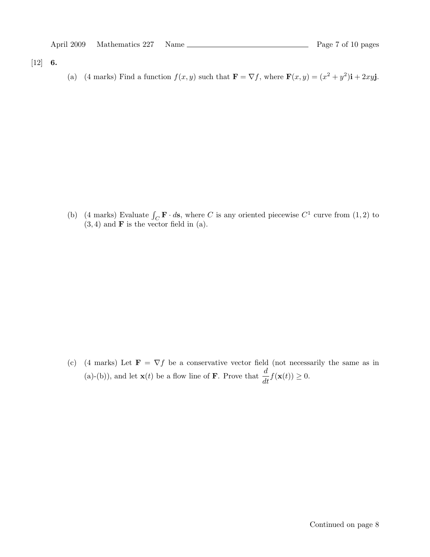$[12] 6.$ 

(a) (4 marks) Find a function  $f(x, y)$  such that  $\mathbf{F} = \nabla f$ , where  $\mathbf{F}(x, y) = (x^2 + y^2)\mathbf{i} + 2xy\mathbf{j}$ .

(b) (4 marks) Evaluate  $\int_C \mathbf{F} \cdot d\mathbf{s}$ , where C is any oriented piecewise  $C^1$  curve from (1, 2) to  $(3, 4)$  and **F** is the vector field in  $(a)$ .

(c) (4 marks) Let  $\mathbf{F} = \nabla f$  be a conservative vector field (not necessarily the same as in (a)-(b)), and let  $\mathbf{x}(t)$  be a flow line of **F**. Prove that  $\frac{d}{dt}f(\mathbf{x}(t)) \ge 0$ .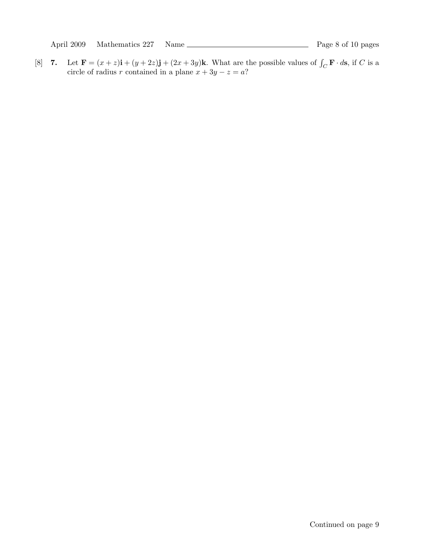[8] **7.** Let  $\mathbf{F} = (x + z)\mathbf{i} + (y + 2z)\mathbf{j} + (2x + 3y)\mathbf{k}$ . What are the possible values of  $\int_C \mathbf{F} \cdot d\mathbf{s}$ , if C is a circle of radius r contained in a plane  $x + 3y - z = a$ ?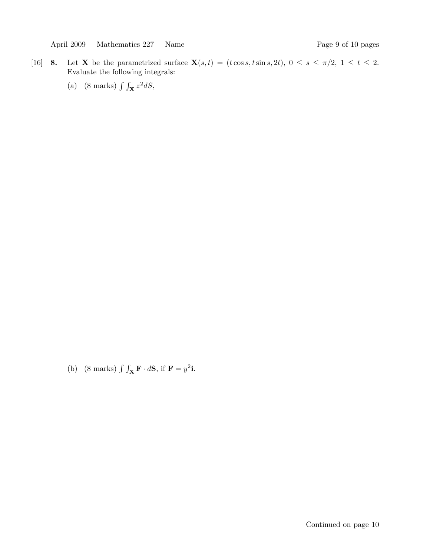- [16] 8. Let X be the parametrized surface  $\mathbf{X}(s,t) = (t \cos s, t \sin s, 2t)$ ,  $0 \le s \le \pi/2$ ,  $1 \le t \le 2$ . Evaluate the following integrals:
	- (a) (8 marks)  $\int \int_{\mathbf{X}} z^2 dS$ ,

(b) (8 marks)  $\int \int_{\mathbf{X}} \mathbf{F} \cdot d\mathbf{S}$ , if  $\mathbf{F} = y^2$ **i**.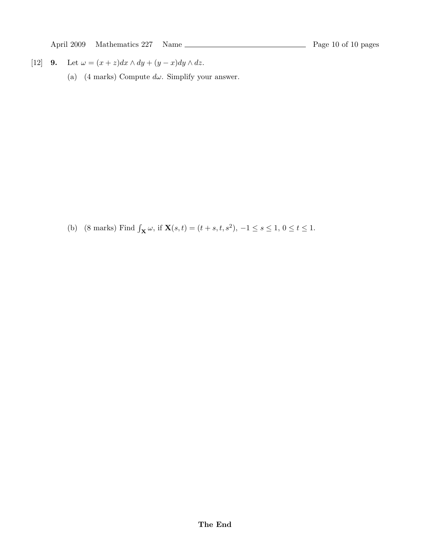$[12] \quad {\bf 9.} \quad \text{Let } \omega = (x+z) dx \wedge dy + (y-x) dy \wedge dz.$ 

(a) (4 marks) Compute  $d\omega$ . Simplify your answer.

(b) (8 marks) Find  $\int_{\mathbf{X}} \omega$ , if  $\mathbf{X}(s,t) = (t + s, t, s^2), -1 \le s \le 1, 0 \le t \le 1$ .